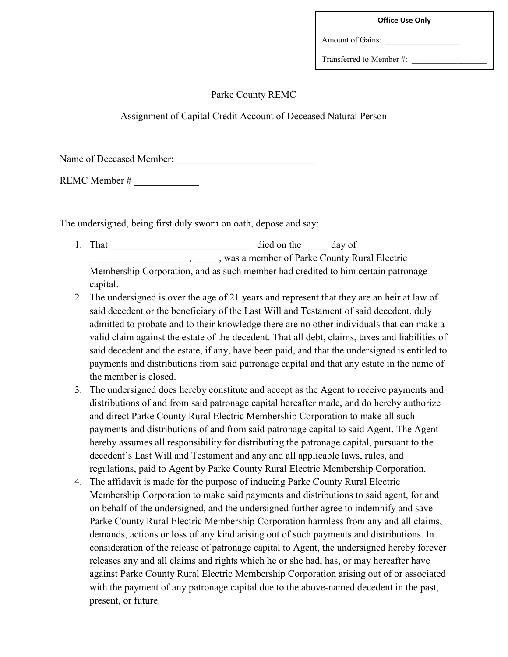| <b>Office Use Only</b> |  |  |
|------------------------|--|--|
|------------------------|--|--|

Amount of Gains:

Transferred to Member #:

## Parke County REMC

Assignment of Capital Credit Account of Deceased Natural Person

Name of Deceased Member:

REMC Member #

The undersigned, being first duly sworn on oath, depose and say:

- 1. That \_\_\_\_\_\_\_\_\_\_\_\_\_\_\_\_\_\_\_\_\_\_\_\_\_\_\_\_ died on the \_\_\_\_\_ day of \_\_\_\_\_\_\_\_\_\_\_\_\_\_\_\_\_\_\_\_, \_\_\_\_\_, was a member of Parke County Rural Electric Membership Corporation, and as such member had credited to him certain patronage capital.
- 2. The undersigned is over the age of 21 years and represent that they are an heir at law of said decedent or the beneficiary of the Last Will and Testament of said decedent, duly admitted to probate and to their knowledge there are no other individuals that can make a valid claim against the estate of the decedent. That all debt, claims, taxes and liabilities of said decedent and the estate, if any, have been paid, and that the undersigned is entitled to payments and distributions from said patronage capital and that any estate in the name of the member is closed.
- 3. The undersigned does hereby constitute and accept as the Agent to receive payments and distributions of and from said patronage capital hereafter made, and do hereby authorize and direct Parke County Rural Electric Membership Corporation to make all such payments and distributions of and from said patronage capital to said Agent. The Agent hereby assumes all responsibility for distributing the patronage capital, pursuant to the decedent's Last Will and Testament and any and all applicable laws, rules, and regulations, paid to Agent by Parke County Rural Electric Membership Corporation.
- 4. The affidavit is made for the purpose of inducing Parke County Rural Electric Membership Corporation to make said payments and distributions to said agent, for and on behalf of the undersigned, and the undersigned further agree to indemnify and save Parke County Rural Electric Membership Corporation harmless from any and all claims, demands, actions or loss of any kind arising out of such payments and distributions. In consideration of the release of patronage capital to Agent, the undersigned hereby forever releases any and all claims and rights which he or she had, has, or may hereafter have against Parke County Rural Electric Membership Corporation arising out of or associated with the payment of any patronage capital due to the above-named decedent in the past, present, or future.